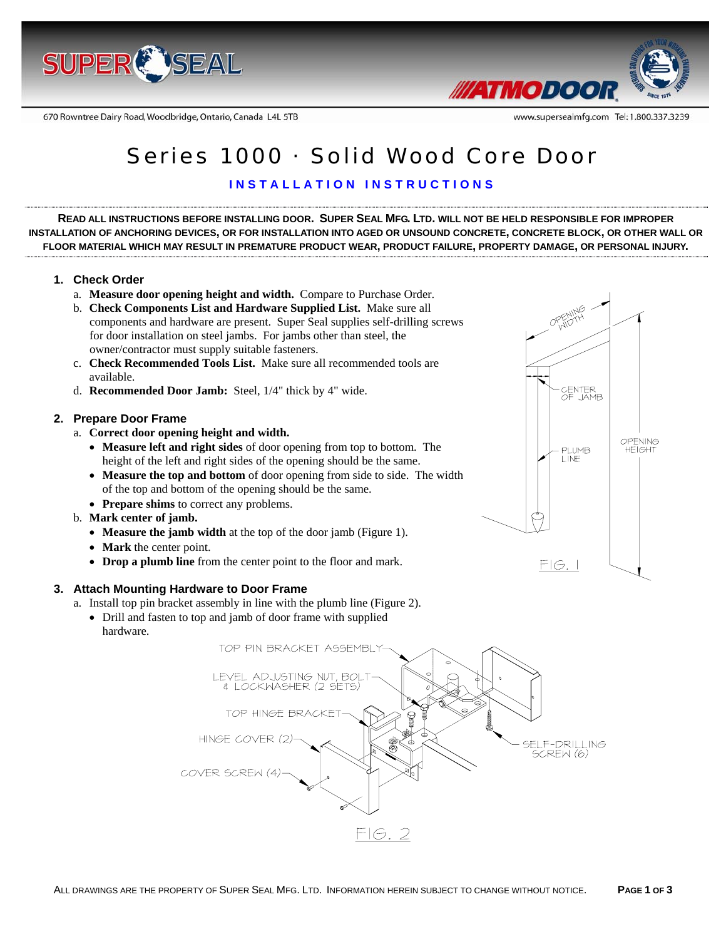

670 Rowntree Dairy Road, Woodbridge, Ontario, Canada L4L 5TB



www.supersealmfg.com Tel: 1.800.337.3239

# Series 1000 · Solid Wood Core Door

# **INSTALLATION INSTRUCTIONS**

**READ ALL INSTRUCTIONS BEFORE INSTALLING DOOR. SUPER SEAL MFG. LTD. WILL NOT BE HELD RESPONSIBLE FOR IMPROPER INSTALLATION OF ANCHORING DEVICES, OR FOR INSTALLATION INTO AGED OR UNSOUND CONCRETE, CONCRETE BLOCK, OR OTHER WALL OR FLOOR MATERIAL WHICH MAY RESULT IN PREMATURE PRODUCT WEAR, PRODUCT FAILURE, PROPERTY DAMAGE, OR PERSONAL INJURY.** 

## **1. Check Order**

- a. **Measure door opening height and width.** Compare to Purchase Order.
- b. **Check Components List and Hardware Supplied List.** Make sure all components and hardware are present. Super Seal supplies self-drilling screws for door installation on steel jambs. For jambs other than steel, the owner/contractor must supply suitable fasteners.
- c. **Check Recommended Tools List.** Make sure all recommended tools are available.
- d. **Recommended Door Jamb:** Steel, 1/4" thick by 4" wide.

#### **2. Prepare Door Frame**

a. **Correct door opening height and width.** 

- **Measure left and right sides** of door opening from top to bottom. The height of the left and right sides of the opening should be the same.
- **Measure the top and bottom** of door opening from side to side. The width of the top and bottom of the opening should be the same.
- **Prepare shims** to correct any problems.
- b. **Mark center of jamb.** 
	- **Measure the jamb width** at the top of the door jamb (Figure 1).
	- **Mark** the center point.
	- **Drop a plumb line** from the center point to the floor and mark.

#### **3. Attach Mounting Hardware to Door Frame**

- a. Install top pin bracket assembly in line with the plumb line (Figure 2).
	- Drill and fasten to top and jamb of door frame with supplied hardware.



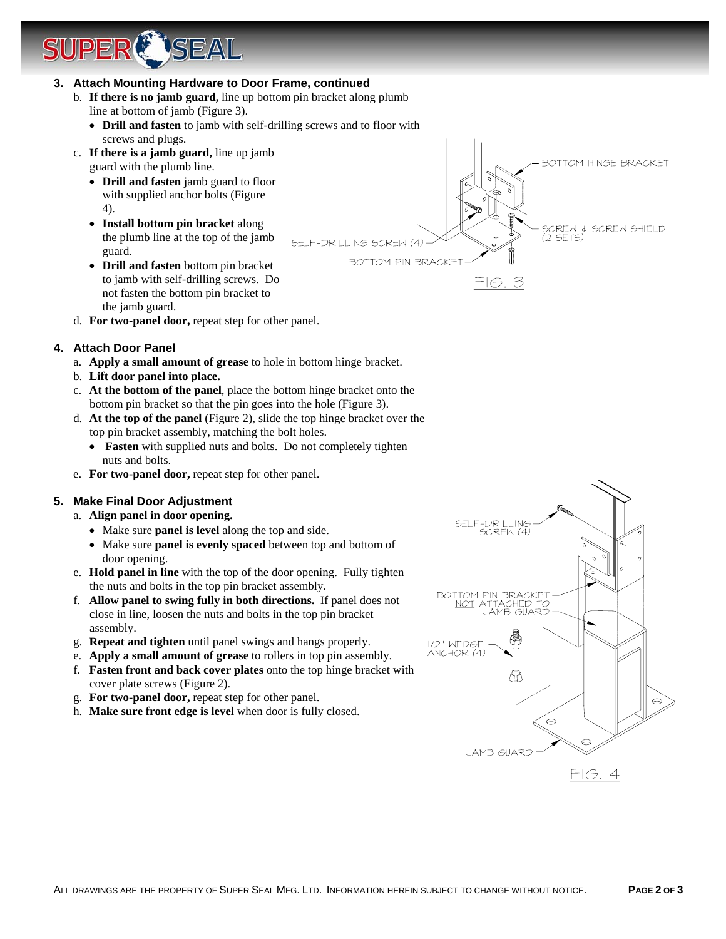# **3. Attach Mounting Hardware to Door Frame, continued**

**TSEAL** 

- b. **If there is no jamb guard,** line up bottom pin bracket along plumb line at bottom of jamb (Figure 3).
	- **Drill and fasten** to jamb with self-drilling screws and to floor with screws and plugs.
- c. **If there is a jamb guard,** line up jamb guard with the plumb line.
	- **Drill and fasten** jamb guard to floor with supplied anchor bolts (Figure 4).
	- **Install bottom pin bracket** along the plumb line at the top of the jamb guard.
- **Drill and fasten** bottom pin bracket to jamb with self-drilling screws. Do not fasten the bottom pin bracket to the jamb guard. d. **For two-panel door,** repeat step for other panel.

SCREW & SCREW SHIELD (2 SETS) SELF-DRILLING SCREW (4) **BOTTOM PIN BRACKET**  $FIG.3$ 

BOTTOM HINGE BRACKET

- **4. Attach Door Panel** 
	- a. **Apply a small amount of grease** to hole in bottom hinge bracket.
	- b. **Lift door panel into place.**
	- c. **At the bottom of the panel**, place the bottom hinge bracket onto the bottom pin bracket so that the pin goes into the hole (Figure 3).
	- d. **At the top of the panel** (Figure 2), slide the top hinge bracket over the top pin bracket assembly, matching the bolt holes.
		- **Fasten** with supplied nuts and bolts. Do not completely tighten nuts and bolts.
	- e. **For two-panel door,** repeat step for other panel.

# **5. Make Final Door Adjustment**

- a. **Align panel in door opening.** 
	- Make sure **panel is level** along the top and side.
	- Make sure **panel is evenly spaced** between top and bottom of door opening.
- e. **Hold panel in line** with the top of the door opening. Fully tighten the nuts and bolts in the top pin bracket assembly.
- f. **Allow panel to swing fully in both directions.** If panel does not close in line, loosen the nuts and bolts in the top pin bracket assembly.
- g. **Repeat and tighten** until panel swings and hangs properly.
- e. **Apply a small amount of grease** to rollers in top pin assembly.
- f. **Fasten front and back cover plates** onto the top hinge bracket with cover plate screws (Figure 2).
- g. **For two-panel door,** repeat step for other panel.
- h. **Make sure front edge is level** when door is fully closed.